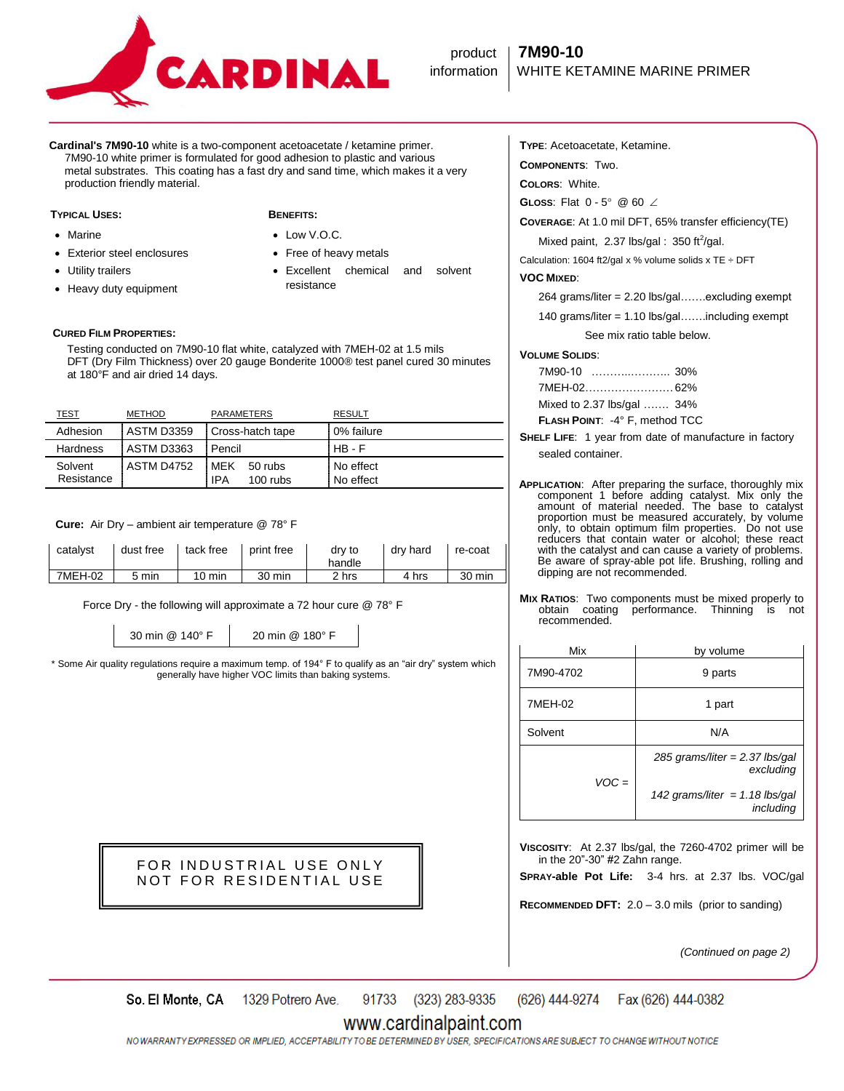

**Cardinal's 7M90-10** white is a two-component acetoacetate / ketamine primer. 7M90-10 white primer is formulated for good adhesion to plastic and various metal substrates. This coating has a fast dry and sand time, which makes it a very production friendly material.

### **TYPICAL USES: BENEFITS:**

- Marine
- Exterior steel enclosures
- Utility trailers
- Heavy duty equipment

- Low V.O.C.
- Free of heavy metals
- Excellent chemical and solvent resistance

**CURED FILM PROPERTIES:**

 Testing conducted on 7M90-10 flat white, catalyzed with 7MEH-02 at 1.5 mils DFT (Dry Film Thickness) over 20 gauge Bonderite 1000® test panel cured 30 minutes at 180°F and air dried 14 days.

| <u>TEST</u>           | METHOD            | <b>PARAMETERS</b>                            | <b>RESULT</b>          |
|-----------------------|-------------------|----------------------------------------------|------------------------|
| Adhesion              | <b>ASTM D3359</b> | Cross-hatch tape                             | 0% failure             |
| Hardness              | ASTM D3363        | : Pencil                                     | $HB - F$               |
| Solvent<br>Resistance | ASTM D4752        | . MFK<br>50 rubs<br><b>IPA</b><br>$100$ rubs | No effect<br>No effect |

 **Cure:** Air Dry – ambient air temperature @ 78° F

| catalvst | dust free | tack free        | print free | dry to<br>handle | drv hard | re-coat |
|----------|-----------|------------------|------------|------------------|----------|---------|
| 7MEH-02  | 5 min     | $10 \text{ min}$ | 30 min     | 2 hrs            | 4 hrs    | 30 min  |

Force Dry - the following will approximate a 72 hour cure @ 78° F

30 min @ 140° F 20 min @ 180° F

\* Some Air quality regulations require a maximum temp. of 194° F to qualify as an "air dry" system which generally have higher VOC limits than baking systems.

> FOR INDUSTRIAL USE ONLY NOT FOR RESIDENTIAL USE

**TYPE**: Acetoacetate, Ketamine.

**COMPONENTS**: Two.

**COLORS**: White.

**GLOSS:** Flat  $0 - 5^{\circ}$  @ 60  $\angle$ 

**COVERAGE**: At 1.0 mil DFT, 65% transfer efficiency(TE)

Mixed paint, 2.37 lbs/gal:  $350$  ft<sup>2</sup>/gal.

Calculation: 1604 ft2/gal x % volume solids x TE  $\div$  DFT

### **VOC MIXED**:

264 grams/liter = 2.20 lbs/gal…….excluding exempt

140 grams/liter = 1.10 lbs/gal…….including exempt

See mix ratio table below.

### **VOLUME SOLIDS**:

| <b>FLASH POINT: -4° F. method TCC</b> |
|---------------------------------------|
| Mixed to 2.37 lbs/gal  34%            |
|                                       |
|                                       |

- **SHELF LIFE**: 1 year from date of manufacture in factory sealed container.
- **APPLICATION**: After preparing the surface, thoroughly mix component 1 before adding catalyst. Mix only the amount of material needed. The base to catalyst proportion must be measured accurately, by volume only, to obtain optimum film properties. Do not use reducers that contain water or alcohol; these react with the catalyst and can cause a variety of problems. Be aware of spray-able pot life. Brushing, rolling and dipping are not recommended.
- **MIX RATIOS:** Two components must be mixed properly to obtain coating performance. Thinning is not performance. Thinning is not recommended.

| Mix       | by volume                                     |
|-----------|-----------------------------------------------|
| 7M90-4702 | 9 parts                                       |
| 7MEH-02   | 1 part                                        |
| Solvent   | N/A                                           |
| $VOC =$   | 285 grams/liter = $2.37$ lbs/gal<br>excluding |
|           | 142 grams/liter = 1.18 lbs/gal<br>including   |

**VISCOSITY**: At 2.37 lbs/gal, the 7260-4702 primer will be in the 20"-30" #2 Zahn range.

**SPRAY-able Pot Life:** 3-4 hrs. at 2.37 lbs. VOC/gal

**RECOMMENDED DFT:** 2.0 – 3.0 mils (prior to sanding)

*(Continued on page 2)*

91733 (323) 283-9335 (626) 444-9274 So. El Monte, CA 1329 Potrero Ave. Fax (626) 444-0382

## www.cardinalpaint.com

NO WARRANTY EXPRESSED OR IMPLIED, ACCEPTABILITY TO BE DETERMINED BY USER, SPECIFICATIONS ARE SUBJECT TO CHANGE WITHOUT NOTICE